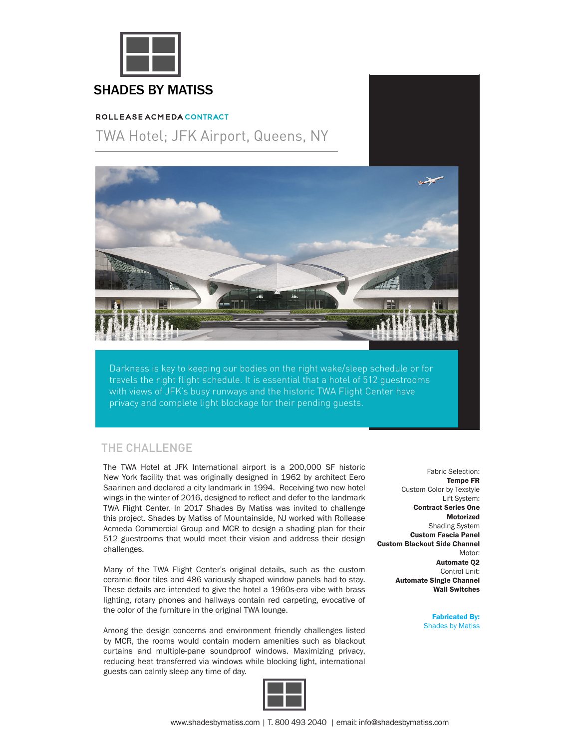

## SHADES BY MATISS

#### ROLLEASE ACMEDA CONTRACT

# TWA Hotel; JFK Airport, Queens, NY



Darkness is key to keeping our bodies on the right wake/sleep schedule or for travels the right flight schedule. It is essential that a hotel of 512 guestrooms with views of JFK's busy runways and the historic TWA Flight Center have privacy and complete light blockage for their pending guests.

#### THE CHALLENGE

The TWA Hotel at JFK International airport is a 200,000 SF historic The TWA Hotel at JFK International airport is a 200,000 SF historic New York facility that was originally designed in 1962 by architect Eero New York facility that was originally designed in 1962 by architect Eero Saarinen and declared a city landmark in 1994. Receiving two new Saarinen and declared a city landmark in 1994. Receiving two new hotel wings in the winter of 2016, designed to reflect and defer to the landmark TWA Flight Center. In 2017 Shades By Matiss was invited to challenge this project. Shades by Matiss of Mountainside, NJ worked with Rollease Acmeda Commercial Group and MCR to design a shading plan for their 512 guestrooms that would meet their vision and address their design  $\mathcal{L}$  the TWA Flight Center's original details, such as the custom center's original details, such as the custom control of  $\mathcal{L}$ challenges.

Many of the TWA Flight Center's original details, such as the custom the state that hoger series serighted the state with the second ceramic floor tiles and 486 variously shaped window panels had to stay. rotary phones and hallways contain red carpeting, evocative of the color These details are intended to give the hotel a 1960s-era vibe with brass lighting, rotary phones and hallways contain red carpeting, evocative of the color of the furniture in the original TWA lounge.

by MCR, the rooms would contain modern amenities such as blackout Among the design concerns and environment friendly challenges listed by MCR, the rooms would contain modern amenities such as blackout curtains and multiple-pane soundproof windows. Maximizing privacy, reducing heat transferred via windows while blocking light, international guests can calmly sleep any time of day.



Fabric Selection: Fabric Selection: **Tempe FR** Custom Color by Texstyle<br>Lift System: Lift System: **Contract Series One**  Contract Series One **– Medium Low Voltage Motorized**  Motorized **Shading System – Custom Fascia Panel** Custom Fascia Panel **- Custom Blackout Side Channel** Custom Blackout Side Channel Motor: Motor: **Automate Q2**  Automate Q2 Control Unit: Control Unit: **Automate Single Channel**  Automate Single Channel **Wall Switches**  Wall Switches

> **Shades by Matiss** Fabricated By: